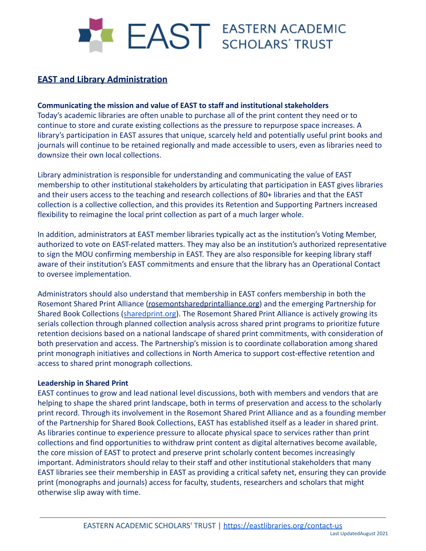# I EAST EASTERN ACADEMIC

## **EAST and Library Administration**

#### **Communicating the mission and value of EAST to staff and institutional stakeholders**

Today's academic libraries are often unable to purchase all of the print content they need or to continue to store and curate existing collections as the pressure to repurpose space increases. A library's participation in EAST assures that unique, scarcely held and potentially useful print books and journals will continue to be retained regionally and made accessible to users, even as libraries need to downsize their own local collections.

Library administration is responsible for understanding and communicating the value of EAST membership to other institutional stakeholders by articulating that participation in EAST gives libraries and their users access to the teaching and research collections of 80+ libraries and that the EAST collection is a collective collection, and this provides its Retention and Supporting Partners increased flexibility to reimagine the local print collection as part of a much larger whole.

In addition, administrators at EAST member libraries typically act as the institution's Voting Member, authorized to vote on EAST-related matters. They may also be an institution's authorized representative to sign the MOU confirming membership in EAST. They are also responsible for keeping library staff aware of their institution's EAST commitments and ensure that the library has an Operational Contact to oversee implementation.

Administrators should also understand that membership in EAST confers membership in both the Rosemont Shared Print Alliance [\(rosemontsharedprintalliance.org\)](https://rosemontsharedprintalliance.org/) and the emerging Partnership for Shared Book Collections ([sharedprint.org](https://sharedprint.org/)). The Rosemont Shared Print Alliance is actively growing its serials collection through planned collection analysis across shared print programs to prioritize future retention decisions based on a national landscape of shared print commitments, with consideration of both preservation and access. The Partnership's mission is to coordinate collaboration among shared print monograph initiatives and collections in North America to support cost-effective retention and access to shared print monograph collections.

#### **Leadership in Shared Print**

EAST continues to grow and lead national level discussions, both with members and vendors that are helping to shape the shared print landscape, both in terms of preservation and access to the scholarly print record. Through its involvement in the Rosemont Shared Print Alliance and as a founding member of the Partnership for Shared Book Collections, EAST has established itself as a leader in shared print. As libraries continue to experience pressure to allocate physical space to services rather than print collections and find opportunities to withdraw print content as digital alternatives become available, the core mission of EAST to protect and preserve print scholarly content becomes increasingly important. Administrators should relay to their staff and other institutional stakeholders that many EAST libraries see their membership in EAST as providing a critical safety net, ensuring they can provide print (monographs and journals) access for faculty, students, researchers and scholars that might otherwise slip away with time.